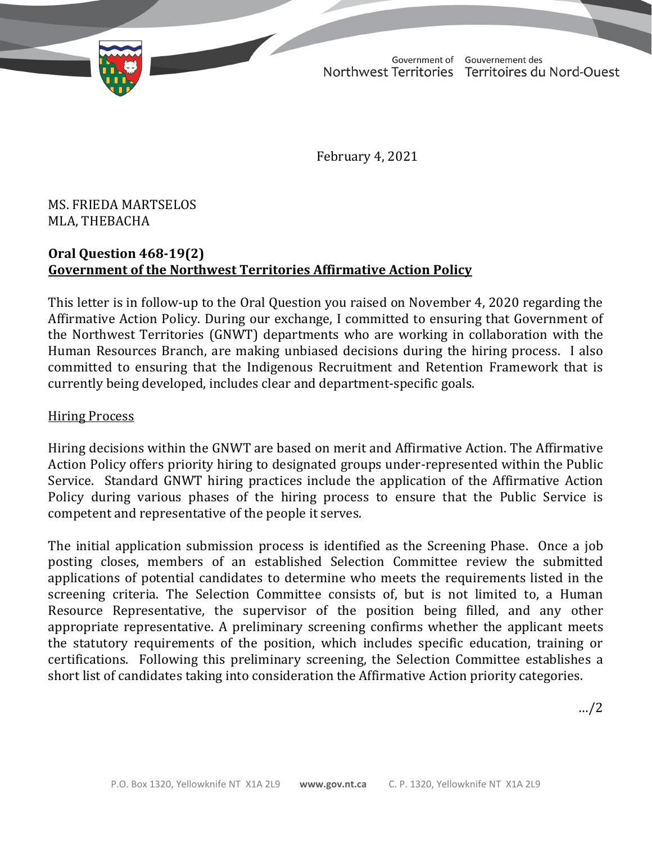TD 293-19(2) TABLED ON FEBRUARY 5, 2021

Government of Gouvernement des Northwest Territories Territoires du Nord-Ouest

February 4, 2021

MS. FRIEDA MARTSELOS MLA, THEBACHA

## **Oral Question 468-19(2) Government of the Northwest Territories Affirmative Action Policy**

This letter is in follow-up to the Oral Question you raised on November 4, 2020 regarding the Affirmative Action Policy. During our exchange, I committed to ensuring that Government of the Northwest Territories (GNWT) departments who are working in collaboration with the Human Resources Branch, are making unbiased decisions during the hiring process. I also committed to ensuring that the Indigenous Recruitment and Retention Framework that is currently being developed, includes clear and department-specific goals.

## Hiring Process

Hiring decisions within the GNWT are based on merit and Affirmative Action. The Affirmative Action Policy offers priority hiring to designated groups under-represented within the Public Service. Standard GNWT hiring practices include the application of the Affirmative Action Policy during various phases of the hiring process to ensure that the Public Service is competent and representative of the people it serves.

The initial application submission process is identified as the Screening Phase. Once a job posting closes, members of an established Selection Committee review the submitted applications of potential candidates to determine who meets the requirements listed in the screening criteria. The Selection Committee consists of, but is not limited to, a Human Resource Representative, the supervisor of the position being filled, and any other appropriate representative. A preliminary screening confirms whether the applicant meets the statutory requirements of the position, which includes specific education, training or certifications. Following this preliminary screening, the Selection Committee establishes a short list of candidates taking into consideration the Affirmative Action priority categories.

…/2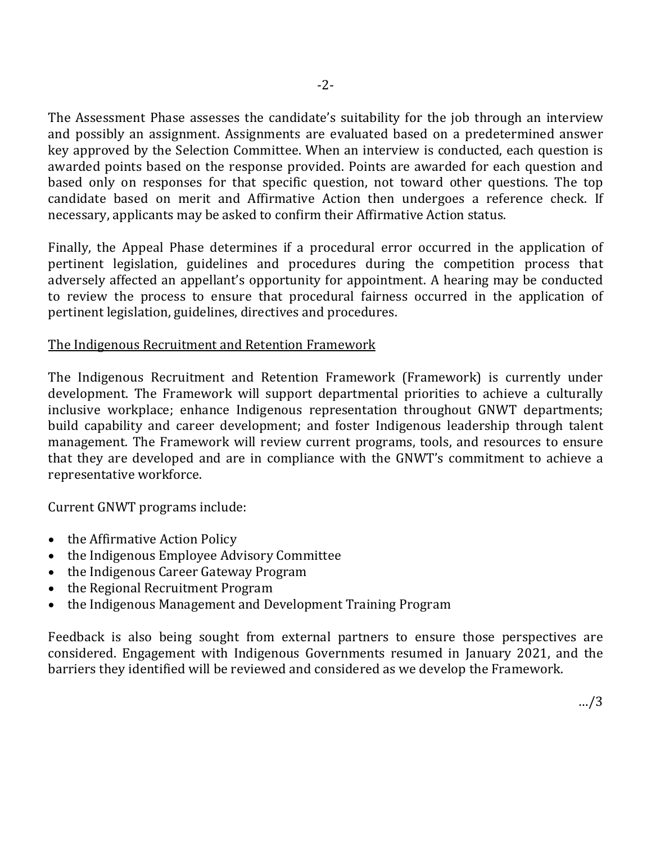The Assessment Phase assesses the candidate's suitability for the job through an interview and possibly an assignment. Assignments are evaluated based on a predetermined answer key approved by the Selection Committee. When an interview is conducted, each question is awarded points based on the response provided. Points are awarded for each question and based only on responses for that specific question, not toward other questions. The top candidate based on merit and Affirmative Action then undergoes a reference check. If necessary, applicants may be asked to confirm their Affirmative Action status.

Finally, the Appeal Phase determines if a procedural error occurred in the application of pertinent legislation, guidelines and procedures during the competition process that adversely affected an appellant's opportunity for appointment. A hearing may be conducted to review the process to ensure that procedural fairness occurred in the application of pertinent legislation, guidelines, directives and procedures.

## The Indigenous Recruitment and Retention Framework

The Indigenous Recruitment and Retention Framework (Framework) is currently under development. The Framework will support departmental priorities to achieve a culturally inclusive workplace; enhance Indigenous representation throughout GNWT departments; build capability and career development; and foster Indigenous leadership through talent management. The Framework will review current programs, tools, and resources to ensure that they are developed and are in compliance with the GNWT's commitment to achieve a representative workforce.

Current GNWT programs include:

- the Affirmative Action Policy
- the Indigenous Employee Advisory Committee
- the Indigenous Career Gateway Program
- the Regional Recruitment Program
- the Indigenous Management and Development Training Program

Feedback is also being sought from external partners to ensure those perspectives are considered. Engagement with Indigenous Governments resumed in January 2021, and the barriers they identified will be reviewed and considered as we develop the Framework.